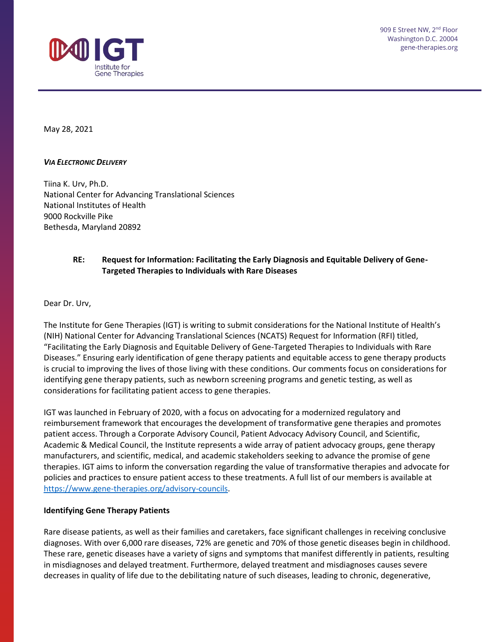

909 E Street NW, 2<sup>nd</sup> Floor Washington D.C. 20004 gene-therapies.org

May 28, 2021

#### *VIA ELECTRONIC DELIVERY*

Tiina K. Urv, Ph.D. National Center for Advancing Translational Sciences National Institutes of Health 9000 Rockville Pike Bethesda, Maryland 20892

## **RE: Request for Information: Facilitating the Early Diagnosis and Equitable Delivery of Gene-Targeted Therapies to Individuals with Rare Diseases**

Dear Dr. Urv,

The Institute for Gene Therapies (IGT) is writing to submit considerations for the National Institute of Health's (NIH) National Center for Advancing Translational Sciences (NCATS) Request for Information (RFI) titled, "Facilitating the Early Diagnosis and Equitable Delivery of Gene-Targeted Therapies to Individuals with Rare Diseases." Ensuring early identification of gene therapy patients and equitable access to gene therapy products is crucial to improving the lives of those living with these conditions. Our comments focus on considerations for identifying gene therapy patients, such as newborn screening programs and genetic testing, as well as considerations for facilitating patient access to gene therapies.

IGT was launched in February of 2020, with a focus on advocating for a modernized regulatory and reimbursement framework that encourages the development of transformative gene therapies and promotes patient access. Through a Corporate Advisory Council, Patient Advocacy Advisory Council, and Scientific, Academic & Medical Council, the Institute represents a wide array of patient advocacy groups, gene therapy manufacturers, and scientific, medical, and academic stakeholders seeking to advance the promise of gene therapies. IGT aims to inform the conversation regarding the value of transformative therapies and advocate for policies and practices to ensure patient access to these treatments. A full list of our members is available at [https://www.gene-therapies.org/advisory-councils.](https://www.gene-therapies.org/advisory-councils)

### **Identifying Gene Therapy Patients**

Rare disease patients, as well as their families and caretakers, face significant challenges in receiving conclusive diagnoses. With over 6,000 rare diseases, 72% are genetic and 70% of those genetic diseases begin in childhood. These rare, genetic diseases have a variety of signs and symptoms that manifest differently in patients, resulting in misdiagnoses and delayed treatment. Furthermore, delayed treatment and misdiagnoses causes severe decreases in quality of life due to the debilitating nature of such diseases, leading to chronic, degenerative,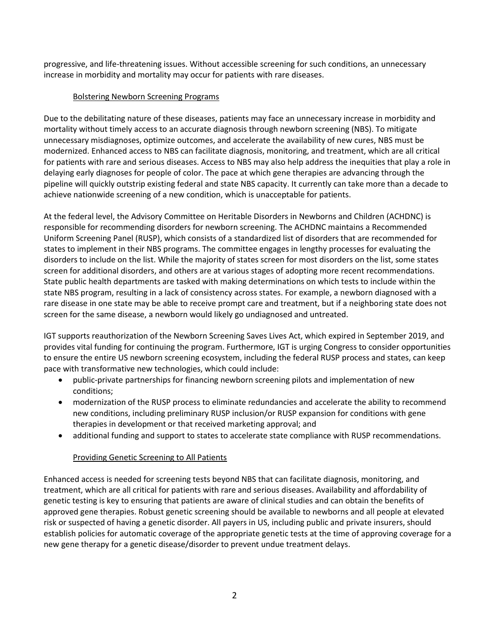progressive, and life-threatening issues. Without accessible screening for such conditions, an unnecessary increase in morbidity and mortality may occur for patients with rare diseases.

## Bolstering Newborn Screening Programs

Due to the debilitating nature of these diseases, patients may face an unnecessary increase in morbidity and mortality without timely access to an accurate diagnosis through newborn screening (NBS). To mitigate unnecessary misdiagnoses, optimize outcomes, and accelerate the availability of new cures, NBS must be modernized. Enhanced access to NBS can facilitate diagnosis, monitoring, and treatment, which are all critical for patients with rare and serious diseases. Access to NBS may also help address the inequities that play a role in delaying early diagnoses for people of color. The pace at which gene therapies are advancing through the pipeline will quickly outstrip existing federal and state NBS capacity. It currently can take more than a decade to achieve nationwide screening of a new condition, which is unacceptable for patients.

At the federal level, the Advisory Committee on Heritable Disorders in Newborns and Children (ACHDNC) is responsible for recommending disorders for newborn screening. The ACHDNC maintains a Recommended Uniform Screening Panel (RUSP), which consists of a standardized list of disorders that are recommended for states to implement in their NBS programs. The committee engages in lengthy processes for evaluating the disorders to include on the list. While the majority of states screen for most disorders on the list, some states screen for additional disorders, and others are at various stages of adopting more recent recommendations. State public health departments are tasked with making determinations on which tests to include within the state NBS program, resulting in a lack of consistency across states. For example, a newborn diagnosed with a rare disease in one state may be able to receive prompt care and treatment, but if a neighboring state does not screen for the same disease, a newborn would likely go undiagnosed and untreated.

IGT supports reauthorization of the Newborn Screening Saves Lives Act, which expired in September 2019, and provides vital funding for continuing the program. Furthermore, IGT is urging Congress to consider opportunities to ensure the entire US newborn screening ecosystem, including the federal RUSP process and states, can keep pace with transformative new technologies, which could include:

- public-private partnerships for financing newborn screening pilots and implementation of new conditions;
- modernization of the RUSP process to eliminate redundancies and accelerate the ability to recommend new conditions, including preliminary RUSP inclusion/or RUSP expansion for conditions with gene therapies in development or that received marketing approval; and
- additional funding and support to states to accelerate state compliance with RUSP recommendations.

# Providing Genetic Screening to All Patients

Enhanced access is needed for screening tests beyond NBS that can facilitate diagnosis, monitoring, and treatment, which are all critical for patients with rare and serious diseases. Availability and affordability of genetic testing is key to ensuring that patients are aware of clinical studies and can obtain the benefits of approved gene therapies. Robust genetic screening should be available to newborns and all people at elevated risk or suspected of having a genetic disorder. All payers in US, including public and private insurers, should establish policies for automatic coverage of the appropriate genetic tests at the time of approving coverage for a new gene therapy for a genetic disease/disorder to prevent undue treatment delays.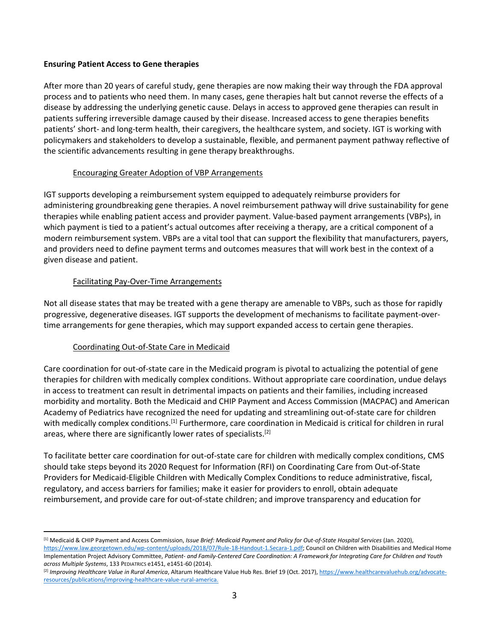### **Ensuring Patient Access to Gene therapies**

After more than 20 years of careful study, gene therapies are now making their way through the FDA approval process and to patients who need them. In many cases, gene therapies halt but cannot reverse the effects of a disease by addressing the underlying genetic cause. Delays in access to approved gene therapies can result in patients suffering irreversible damage caused by their disease. Increased access to gene therapies benefits patients' short- and long-term health, their caregivers, the healthcare system, and society. IGT is working with policymakers and stakeholders to develop a sustainable, flexible, and permanent payment pathway reflective of the scientific advancements resulting in gene therapy breakthroughs.

### Encouraging Greater Adoption of VBP Arrangements

IGT supports developing a reimbursement system equipped to adequately reimburse providers for administering groundbreaking gene therapies. A novel reimbursement pathway will drive sustainability for gene therapies while enabling patient access and provider payment. Value-based payment arrangements (VBPs), in which payment is tied to a patient's actual outcomes after receiving a therapy, are a critical component of a modern reimbursement system. VBPs are a vital tool that can support the flexibility that manufacturers, payers, and providers need to define payment terms and outcomes measures that will work best in the context of a given disease and patient.

### Facilitating Pay-Over-Time Arrangements

Not all disease states that may be treated with a gene therapy are amenable to VBPs, such as those for rapidly progressive, degenerative diseases. IGT supports the development of mechanisms to facilitate payment-overtime arrangements for gene therapies, which may support expanded access to certain gene therapies.

# Coordinating Out-of-State Care in Medicaid

Care coordination for out-of-state care in the Medicaid program is pivotal to actualizing the potential of gene therapies for children with medically complex conditions. Without appropriate care coordination, undue delays in access to treatment can result in detrimental impacts on patients and their families, including increased morbidity and mortality. Both the Medicaid and CHIP Payment and Access Commission (MACPAC) and American Academy of Pediatrics have recognized the need for updating and streamlining out-of-state care for children with medically complex conditions.<sup>[1]</sup> Furthermore, care coordination in Medicaid is critical for children in rural areas, where there are significantly lower rates of specialists.<sup>[2]</sup>

To facilitate better care coordination for out-of-state care for children with medically complex conditions, CMS should take steps beyond its 2020 Request for Information (RFI) on Coordinating Care from Out-of-State Providers for Medicaid-Eligible Children with Medically Complex Conditions to reduce administrative, fiscal, regulatory, and access barriers for families; make it easier for providers to enroll, obtain adequate reimbursement, and provide care for out-of-state children; and improve transparency and education for

<sup>[1]</sup> Medicaid & CHIP Payment and Access Commission, *Issue Brief: Medicaid Payment and Policy for Out-of-State Hospital Services* (Jan. 2020), https://www.law.georgetown.edu/wp-content/uploads/2018/07/Rule-18-Handout-1.Secara-1.pdf; Council on Children with Disabilities and Medical Home Implementation Project Advisory Committee, *Patient- and Family-Centered Care Coordination: A Framework for Integrating Care for Children and Youth across Multiple Systems*, 133 PEDIATRICS e1451, e1451-60 (2014).

<sup>&</sup>lt;sup>[2]</sup> Improving Healthcare Value in Rural America, Altarum Healthcare Value Hub Res. Brief 19 (Oct. 2017), https://www.healthcarevaluehub.org/advocateresources/publications/improving-healthcare-value-rural-america.